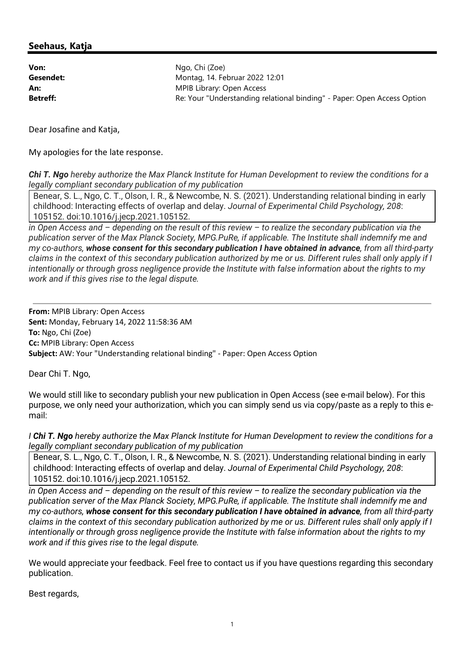## **Seehaus, Katja**

**Von:** Ngo, Chi (Zoe) **Gesendet:** Montag, 14. Februar 2022 12:01 **An:** MPIB Library: Open Access **Betreff: Retreff: Re: Your "Understanding relational binding" - Paper: Open Access Option** 

Dear Josafine and Katja,

My apologies for the late response.

*Chi T. Ngo hereby authorize the Max Planck Institute for Human Development to review the conditions for a legally compliant secondary publication of my publication*

Benear, S. L., Ngo, C. T., Olson, I. R., & Newcombe, N. S. (2021). Understanding relational binding in early childhood: Interacting effects of overlap and delay. *Journal of Experimental Child Psychology, 208*: 105152. doi:10.1016/j.jecp.2021.105152.

*in Open Access and – depending on the result of this review – to realize the secondary publication via the publication server of the Max Planck Society, MPG.PuRe, if applicable. The Institute shall indemnify me and my co-authors, whose consent for this secondary publication I have obtained in advance, from all third-party claims in the context of this secondary publication authorized by me or us. Different rules shall only apply if I intentionally or through gross negligence provide the Institute with false information about the rights to my work and if this gives rise to the legal dispute.*

**From:** MPIB Library: Open Access **Sent:** Monday, February 14, 2022 11:58:36 AM **To:** Ngo, Chi (Zoe) **Cc:** MPIB Library: Open Access **Subject:** AW: Your "Understanding relational binding" - Paper: Open Access Option

Dear Chi T. Ngo,

We would still like to secondary publish your new publication in Open Access (see e-mail below). For this purpose, we only need your authorization, which you can simply send us via copy/paste as a reply to this email:

*I Chi T. Ngo hereby authorize the Max Planck Institute for Human Development to review the conditions for a legally compliant secondary publication of my publication* 

Benear, S. L., Ngo, C. T., Olson, I. R., & Newcombe, N. S. (2021). Understanding relational binding in early childhood: Interacting effects of overlap and delay. *Journal of Experimental Child Psychology, 208*: 105152. doi:10.1016/j.jecp.2021.105152.

*in Open Access and – depending on the result of this review – to realize the secondary publication via the publication server of the Max Planck Society, MPG.PuRe, if applicable. The Institute shall indemnify me and my co-authors, whose consent for this secondary publication I have obtained in advance, from all third-party claims in the context of this secondary publication authorized by me or us. Different rules shall only apply if I intentionally or through gross negligence provide the Institute with false information about the rights to my work and if this gives rise to the legal dispute.*

We would appreciate your feedback. Feel free to contact us if you have questions regarding this secondary publication.

Best regards,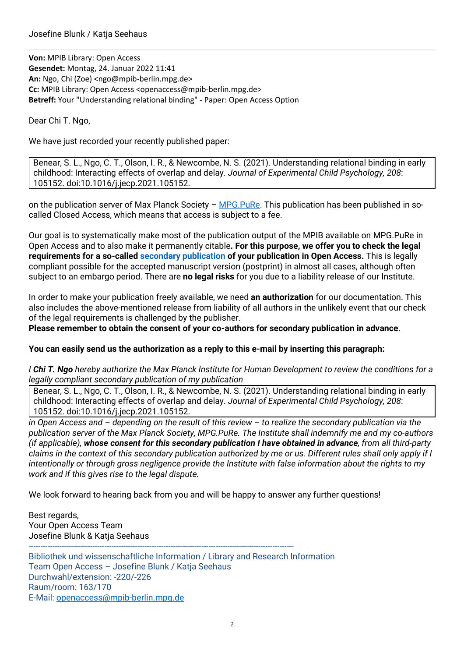**Von:** MPIB Library: Open Access **Gesendet:** Montag, 24. Januar 2022 11:41 An: Ngo, Chi (Zoe) <ngo@mpib-berlin.mpg.de> **Cc:** MPIB Library: Open Access <openaccess@mpib-berlin.mpg.de> **Betreff:** Your "Understanding relational binding" - Paper: Open Access Option

Dear Chi T. Ngo,

We have just recorded your recently published paper:

Benear, S. L., Ngo, C. T., Olson, I. R., & Newcombe, N. S. (2021). Understanding relational binding in early childhood: Interacting effects of overlap and delay. *Journal of Experimental Child Psychology, 208*: 105152. doi:10.1016/j.jecp.2021.105152.

on the publication server of Max Planck Society –  $MPG.PuRe$ . This publication has been published in socalled Closed Access, which means that access is subject to a fee.

Our goal is to systematically make most of the publication output of the MPIB available on MPG.PuRe in Open Access and to also make it permanently citable**. For this purpose, we offer you to check the legal requirements for a so-called secondary publication of your publication in Open Access.** This is legally compliant possible for the accepted manuscript version (postprint) in almost all cases, although often subject to an embargo period. There are **no legal risks** for you due to a liability release of our Institute.

In order to make your publication freely available, we need **an authorization** for our documentation. This also includes the above-mentioned release from liability of all authors in the unlikely event that our check of the legal requirements is challenged by the publisher.

**Please remember to obtain the consent of your co-authors for secondary publication in advance**.

## **You can easily send us the authorization as a reply to this e-mail by inserting this paragraph:**

*I Chi T. Ngo hereby authorize the Max Planck Institute for Human Development to review the conditions for a legally compliant secondary publication of my publication* 

Benear, S. L., Ngo, C. T., Olson, I. R., & Newcombe, N. S. (2021). Understanding relational binding in early childhood: Interacting effects of overlap and delay. *Journal of Experimental Child Psychology, 208*: 105152. doi:10.1016/j.jecp.2021.105152.

*in Open Access and – depending on the result of this review – to realize the secondary publication via the publication server of the Max Planck Society, MPG.PuRe. The Institute shall indemnify me and my co-authors (if applicable), whose consent for this secondary publication I have obtained in advance, from all third-party claims in the context of this secondary publication authorized by me or us. Different rules shall only apply if I intentionally or through gross negligence provide the Institute with false information about the rights to my work and if this gives rise to the legal dispute.* 

We look forward to hearing back from you and will be happy to answer any further questions!

Best regards, Your Open Access Team Josefine Blunk & Katja Seehaus

Bibliothek und wissenschaftliche Information / Library and Research Information Team Open Access – Josefine Blunk / Katja Seehaus Durchwahl/extension: -220/-226 Raum/room: 163/170 E-Mail: openaccess@mpib-berlin.mpg.de

----------------------------------------------------------------------------------------------------------------